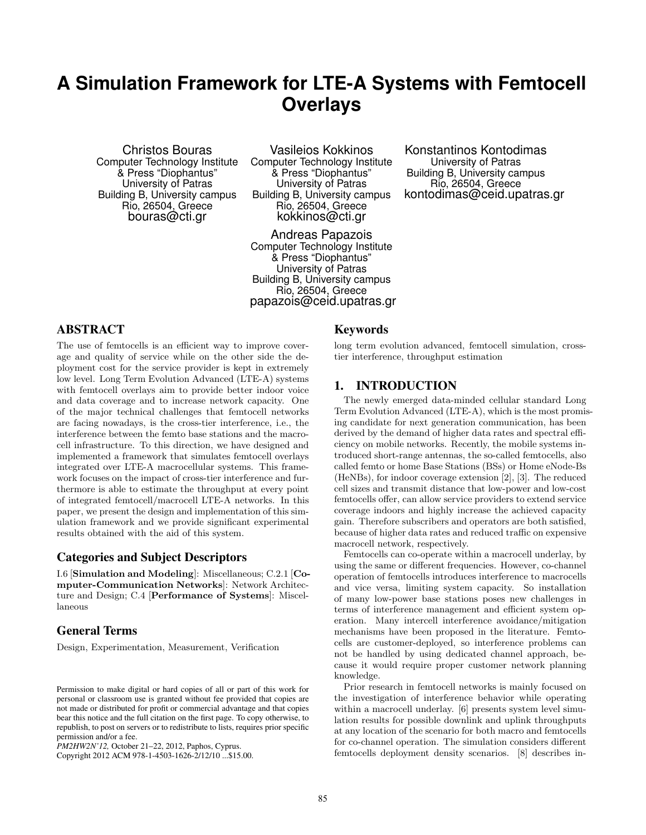# **A Simulation Framework for LTE-A Systems with Femtocell Overlays**

Christos Bouras Computer Technology Institute & Press "Diophantus" University of Patras Building B, University campus Rio, 26504, Greece bouras@cti.gr

Vasileios Kokkinos Computer Technology Institute & Press "Diophantus" University of Patras Building B, University campus Rio, 26504, Greece kokkinos@cti.gr

Andreas Papazois Computer Technology Institute & Press "Diophantus" University of Patras Building B, University campus Rio, 26504, Greece papazois@ceid.upatras.gr Konstantinos Kontodimas University of Patras Building B, University campus Rio, 26504, Greece kontodimas@ceid.upatras.gr

## ABSTRACT

The use of femtocells is an efficient way to improve coverage and quality of service while on the other side the deployment cost for the service provider is kept in extremely low level. Long Term Evolution Advanced (LTE-A) systems with femtocell overlays aim to provide better indoor voice and data coverage and to increase network capacity. One of the major technical challenges that femtocell networks are facing nowadays, is the cross-tier interference, i.e., the interference between the femto base stations and the macrocell infrastructure. To this direction, we have designed and implemented a framework that simulates femtocell overlays integrated over LTE-A macrocellular systems. This framework focuses on the impact of cross-tier interference and furthermore is able to estimate the throughput at every point of integrated femtocell/macrocell LTE-A networks. In this paper, we present the design and implementation of this simulation framework and we provide significant experimental results obtained with the aid of this system.

#### Categories and Subject Descriptors

I.6 [**Simulation and Modeling**]: Miscellaneous; C.2.1 [**Computer-Communication Networks**]: Network Architecture and Design; C.4 [**Performance of Systems**]: Miscellaneous

## General Terms

Design, Experimentation, Measurement, Verification

Copyright 2012 ACM 978-1-4503-1626-2/12/10 ...\$15.00.

#### Keywords

long term evolution advanced, femtocell simulation, crosstier interference, throughput estimation

## 1. INTRODUCTION

The newly emerged data-minded cellular standard Long Term Evolution Advanced (LTE-A), which is the most promising candidate for next generation communication, has been derived by the demand of higher data rates and spectral efficiency on mobile networks. Recently, the mobile systems introduced short-range antennas, the so-called femtocells, also called femto or home Base Stations (BSs) or Home eNode-Bs (HeNBs), for indoor coverage extension [2], [3]. The reduced cell sizes and transmit distance that low-power and low-cost femtocells offer, can allow service providers to extend service coverage indoors and highly increase the achieved capacity gain. Therefore subscribers and operators are both satisfied, because of higher data rates and reduced traffic on expensive macrocell network, respectively.

Femtocells can co-operate within a macrocell underlay, by using the same or different frequencies. However, co-channel operation of femtocells introduces interference to macrocells and vice versa, limiting system capacity. So installation of many low-power base stations poses new challenges in terms of interference management and efficient system operation. Many intercell interference avoidance/mitigation mechanisms have been proposed in the literature. Femtocells are customer-deployed, so interference problems can not be handled by using dedicated channel approach, because it would require proper customer network planning knowledge.

Prior research in femtocell networks is mainly focused on the investigation of interference behavior while operating within a macrocell underlay. [6] presents system level simulation results for possible downlink and uplink throughputs at any location of the scenario for both macro and femtocells for co-channel operation. The simulation considers different femtocells deployment density scenarios. [8] describes in-

Permission to make digital or hard copies of all or part of this work for personal or classroom use is granted without fee provided that copies are not made or distributed for profit or commercial advantage and that copies bear this notice and the full citation on the first page. To copy otherwise, to republish, to post on servers or to redistribute to lists, requires prior specific permission and/or a fee.

*PM2HW2N'12,* October 21–22, 2012, Paphos, Cyprus.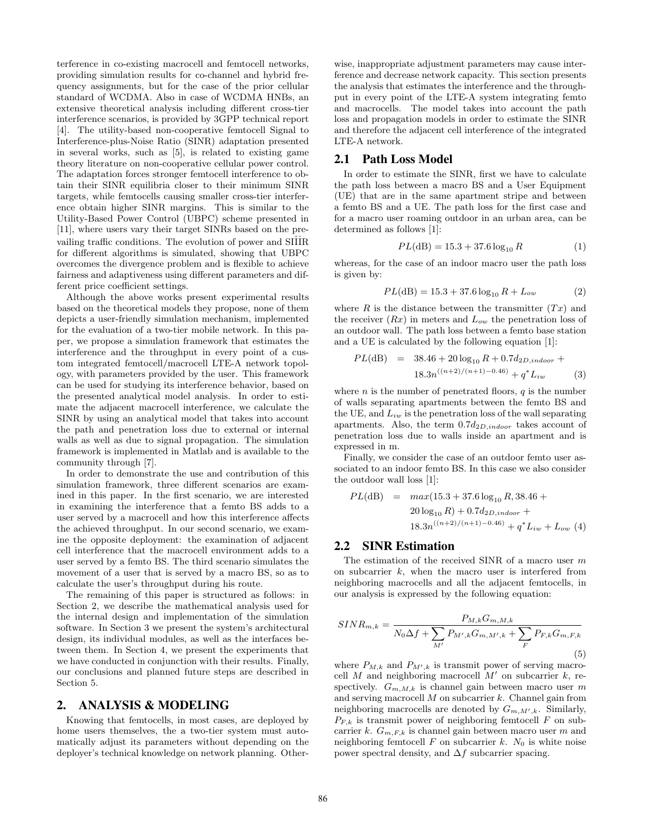terference in co-existing macrocell and femtocell networks, providing simulation results for co-channel and hybrid frequency assignments, but for the case of the prior cellular standard of WCDMA. Also in case of WCDMA HNBs, an extensive theoretical analysis including different cross-tier interference scenarios, is provided by 3GPP technical report [4]. The utility-based non-cooperative femtocell Signal to Interference-plus-Noise Ratio (SINR) adaptation presented in several works, such as [5], is related to existing game theory literature on non-cooperative cellular power control. The adaptation forces stronger femtocell interference to obtain their SINR equilibria closer to their minimum SINR targets, while femtocells causing smaller cross-tier interference obtain higher SINR margins. This is similar to the Utility-Based Power Control (UBPC) scheme presented in [11], where users vary their target SINRs based on the prevailing traffic conditions. The evolution of power and SIIIR for different algorithms is simulated, showing that UBPC overcomes the divergence problem and is flexible to achieve fairness and adaptiveness using different parameters and different price coefficient settings.

Although the above works present experimental results based on the theoretical models they propose, none of them depicts a user-friendly simulation mechanism, implemented for the evaluation of a two-tier mobile network. In this paper, we propose a simulation framework that estimates the interference and the throughput in every point of a custom integrated femtocell/macrocell LTE-A network topology, with parameters provided by the user. This framework can be used for studying its interference behavior, based on the presented analytical model analysis. In order to estimate the adjacent macrocell interference, we calculate the SINR by using an analytical model that takes into account the path and penetration loss due to external or internal walls as well as due to signal propagation. The simulation framework is implemented in Matlab and is available to the community through [7].

In order to demonstrate the use and contribution of this simulation framework, three different scenarios are examined in this paper. In the first scenario, we are interested in examining the interference that a femto BS adds to a user served by a macrocell and how this interference affects the achieved throughput. In our second scenario, we examine the opposite deployment: the examination of adjacent cell interference that the macrocell environment adds to a user served by a femto BS. The third scenario simulates the movement of a user that is served by a macro BS, so as to calculate the user's throughput during his route.

The remaining of this paper is structured as follows: in Section 2, we describe the mathematical analysis used for the internal design and implementation of the simulation software. In Section 3 we present the system's architectural design, its individual modules, as well as the interfaces between them. In Section 4, we present the experiments that we have conducted in conjunction with their results. Finally, our conclusions and planned future steps are described in Section 5.

#### 2. ANALYSIS & MODELING

Knowing that femtocells, in most cases, are deployed by home users themselves, the a two-tier system must automatically adjust its parameters without depending on the deployer's technical knowledge on network planning. Otherwise, inappropriate adjustment parameters may cause interference and decrease network capacity. This section presents the analysis that estimates the interference and the throughput in every point of the LTE-A system integrating femto and macrocells. The model takes into account the path loss and propagation models in order to estimate the SINR and therefore the adjacent cell interference of the integrated LTE-A network.

#### 2.1 Path Loss Model

In order to estimate the SINR, first we have to calculate the path loss between a macro BS and a User Equipment (UE) that are in the same apartment stripe and between a femto BS and a UE. The path loss for the first case and for a macro user roaming outdoor in an urban area, can be determined as follows [1]:

$$
PL(dB) = 15.3 + 37.6 \log_{10} R \tag{1}
$$

whereas, for the case of an indoor macro user the path loss is given by:

$$
PL(dB) = 15.3 + 37.6 \log_{10} R + L_{ow}
$$
 (2)

where  $R$  is the distance between the transmitter  $(Tx)$  and the receiver (*Rx*) in meters and *Low* the penetration loss of an outdoor wall. The path loss between a femto base station and a UE is calculated by the following equation [1]:

$$
PL(dB) = 38.46 + 20 \log_{10} R + 0.7d_{2D,indoor} + 18.3n^{((n+2)/(n+1)-0.46)} + q^* L_{iw}
$$
 (3)

where *n* is the number of penetrated floors,  $q$  is the number of walls separating apartments between the femto BS and the UE, and *Liw* is the penetration loss of the wall separating apartments. Also, the term 0*.*7*d*2*D,indoor* takes account of penetration loss due to walls inside an apartment and is expressed in m.

Finally, we consider the case of an outdoor femto user associated to an indoor femto BS. In this case we also consider the outdoor wall loss [1]:

$$
PL(dB) = max(15.3 + 37.6 \log_{10} R, 38.46 + 20 \log_{10} R) + 0.7d_{2D,indoor} + 18.3n^{((n+2)/(n+1)-0.46)} + q^* L_{iw} + L_{ow} (4)
$$

## 2.2 SINR Estimation

The estimation of the received SINR of a macro user *m* on subcarrier *k*, when the macro user is interfered from neighboring macrocells and all the adjacent femtocells, in our analysis is expressed by the following equation:

$$
SINR_{m,k} = \frac{P_{M,k}G_{m,M,k}}{N_0\Delta f + \sum_{M'} P_{M',k}G_{m,M',k} + \sum_{F} P_{F,k}G_{m,F,k}}
$$
\n(5)

where  $P_{M,k}$  and  $P_{M',k}$  is transmit power of serving macrocell *M* and neighboring macrocell  $M'$  on subcarrier  $k$ , respectively.  $G_{m,M,k}$  is channel gain between macro user m and serving macrocell *M* on subcarrier *k*. Channel gain from neighboring macrocells are denoted by  $G_{m,M',k}$ . Similarly,  $P_{F,k}$  is transmit power of neighboring femtocell *F* on subcarrier *k*.  $G_{m,F,k}$  is channel gain between macro user *m* and neighboring femtocell  $F$  on subcarrier  $k$ .  $N_0$  is white noise power spectral density, and ∆*f* subcarrier spacing.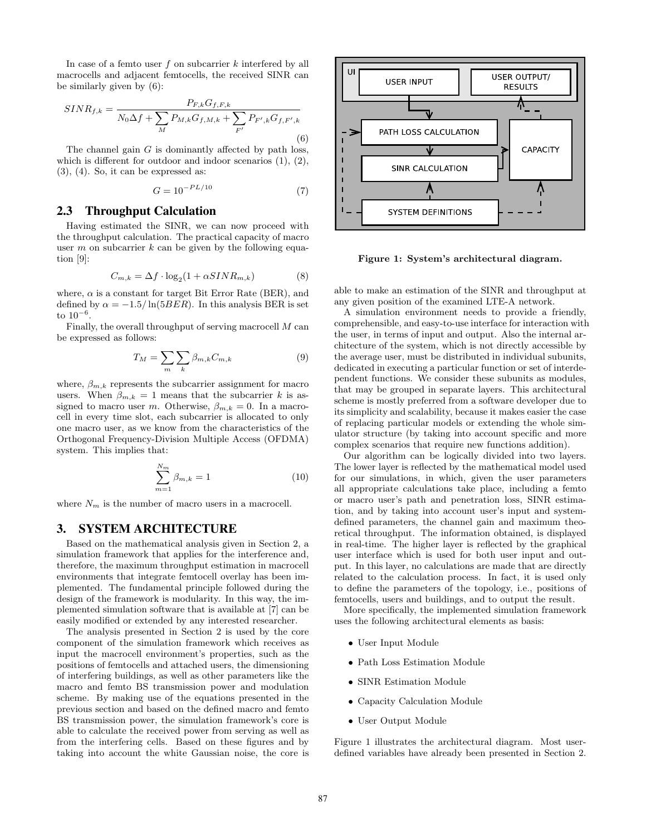In case of a femto user *f* on subcarrier *k* interfered by all macrocells and adjacent femtocells, the received SINR can be similarly given by (6):

$$
SINR_{f,k} = \frac{P_{F,k}G_{f,F,k}}{N_0\Delta f + \sum_{M} P_{M,k}G_{f,M,k} + \sum_{F'} P_{F',k}G_{f,F',k}}
$$
\n(6)

The channel gain *G* is dominantly affected by path loss, which is different for outdoor and indoor scenarios (1), (2),  $(3)$ ,  $(4)$ . So, it can be expressed as:

$$
G = 10^{-PL/10} \tag{7}
$$

#### 2.3 Throughput Calculation

Having estimated the SINR, we can now proceed with the throughput calculation. The practical capacity of macro user *m* on subcarrier *k* can be given by the following equation [9]:

$$
C_{m,k} = \Delta f \cdot \log_2(1 + \alpha SINR_{m,k})
$$
 (8)

where,  $\alpha$  is a constant for target Bit Error Rate (BER), and defined by  $\alpha = -1.5/\ln(5BER)$ . In this analysis BER is set to 10*−*<sup>6</sup> .

Finally, the overall throughput of serving macrocell *M* can be expressed as follows:

$$
T_M = \sum_{m} \sum_{k} \beta_{m,k} C_{m,k} \tag{9}
$$

where,  $\beta_{m,k}$  represents the subcarrier assignment for macro users. When  $\beta_{m,k} = 1$  means that the subcarrier *k* is assigned to macro user *m*. Otherwise,  $\beta_{m,k} = 0$ . In a macrocell in every time slot, each subcarrier is allocated to only one macro user, as we know from the characteristics of the Orthogonal Frequency-Division Multiple Access (OFDMA) system. This implies that:

$$
\sum_{m=1}^{N_m} \beta_{m,k} = 1
$$
\n(10)

where  $N_m$  is the number of macro users in a macrocell.

## 3. SYSTEM ARCHITECTURE

Based on the mathematical analysis given in Section 2, a simulation framework that applies for the interference and, therefore, the maximum throughput estimation in macrocell environments that integrate femtocell overlay has been implemented. The fundamental principle followed during the design of the framework is modularity. In this way, the implemented simulation software that is available at [7] can be easily modified or extended by any interested researcher.

The analysis presented in Section 2 is used by the core component of the simulation framework which receives as input the macrocell environment's properties, such as the positions of femtocells and attached users, the dimensioning of interfering buildings, as well as other parameters like the macro and femto BS transmission power and modulation scheme. By making use of the equations presented in the previous section and based on the defined macro and femto BS transmission power, the simulation framework's core is able to calculate the received power from serving as well as from the interfering cells. Based on these figures and by taking into account the white Gaussian noise, the core is



**Figure 1: System's architectural diagram.**

able to make an estimation of the SINR and throughput at any given position of the examined LTE-A network.

A simulation environment needs to provide a friendly, comprehensible, and easy-to-use interface for interaction with the user, in terms of input and output. Also the internal architecture of the system, which is not directly accessible by the average user, must be distributed in individual subunits, dedicated in executing a particular function or set of interdependent functions. We consider these subunits as modules, that may be grouped in separate layers. This architectural scheme is mostly preferred from a software developer due to its simplicity and scalability, because it makes easier the case of replacing particular models or extending the whole simulator structure (by taking into account specific and more complex scenarios that require new functions addition).

Our algorithm can be logically divided into two layers. The lower layer is reflected by the mathematical model used for our simulations, in which, given the user parameters all appropriate calculations take place, including a femto or macro user's path and penetration loss, SINR estimation, and by taking into account user's input and systemdefined parameters, the channel gain and maximum theoretical throughput. The information obtained, is displayed in real-time. The higher layer is reflected by the graphical user interface which is used for both user input and output. In this layer, no calculations are made that are directly related to the calculation process. In fact, it is used only to define the parameters of the topology, i.e., positions of femtocells, users and buildings, and to output the result.

More specifically, the implemented simulation framework uses the following architectural elements as basis:

- *•* User Input Module
- *•* Path Loss Estimation Module
- *•* SINR Estimation Module
- *•* Capacity Calculation Module
- *•* User Output Module

Figure 1 illustrates the architectural diagram. Most userdefined variables have already been presented in Section 2.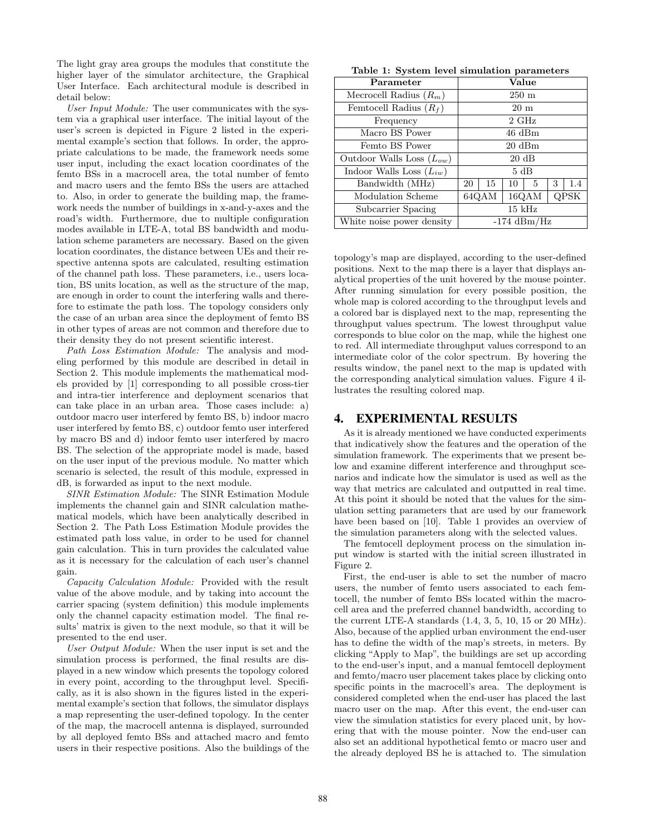The light gray area groups the modules that constitute the higher layer of the simulator architecture, the Graphical User Interface. Each architectural module is described in detail below:

*User Input Module:* The user communicates with the system via a graphical user interface. The initial layout of the user's screen is depicted in Figure 2 listed in the experimental example's section that follows. In order, the appropriate calculations to be made, the framework needs some user input, including the exact location coordinates of the femto BSs in a macrocell area, the total number of femto and macro users and the femto BSs the users are attached to. Also, in order to generate the building map, the framework needs the number of buildings in x-and-y-axes and the road's width. Furthermore, due to multiple configuration modes available in LTE-A, total BS bandwidth and modulation scheme parameters are necessary. Based on the given location coordinates, the distance between UEs and their respective antenna spots are calculated, resulting estimation of the channel path loss. These parameters, i.e., users location, BS units location, as well as the structure of the map, are enough in order to count the interfering walls and therefore to estimate the path loss. The topology considers only the case of an urban area since the deployment of femto BS in other types of areas are not common and therefore due to their density they do not present scientific interest.

*Path Loss Estimation Module:* The analysis and modeling performed by this module are described in detail in Section 2. This module implements the mathematical models provided by [1] corresponding to all possible cross-tier and intra-tier interference and deployment scenarios that can take place in an urban area. Those cases include: a) outdoor macro user interfered by femto BS, b) indoor macro user interfered by femto BS, c) outdoor femto user interfered by macro BS and d) indoor femto user interfered by macro BS. The selection of the appropriate model is made, based on the user input of the previous module. No matter which scenario is selected, the result of this module, expressed in dB, is forwarded as input to the next module.

*SINR Estimation Module:* The SINR Estimation Module implements the channel gain and SINR calculation mathematical models, which have been analytically described in Section 2. The Path Loss Estimation Module provides the estimated path loss value, in order to be used for channel gain calculation. This in turn provides the calculated value as it is necessary for the calculation of each user's channel gain.

*Capacity Calculation Module:* Provided with the result value of the above module, and by taking into account the carrier spacing (system definition) this module implements only the channel capacity estimation model. The final results' matrix is given to the next module, so that it will be presented to the end user.

*User Output Module:* When the user input is set and the simulation process is performed, the final results are displayed in a new window which presents the topology colored in every point, according to the throughput level. Specifically, as it is also shown in the figures listed in the experimental example's section that follows, the simulator displays a map representing the user-defined topology. In the center of the map, the macrocell antenna is displayed, surrounded by all deployed femto BSs and attached macro and femto users in their respective positions. Also the buildings of the

|  |  |  |  |  | Table 1: System level simulation parameters |
|--|--|--|--|--|---------------------------------------------|
|--|--|--|--|--|---------------------------------------------|

| Parameter                     |       | Value                 |                      |   |   |     |  |  |
|-------------------------------|-------|-----------------------|----------------------|---|---|-----|--|--|
| Mecrocell Radius $(R_m)$      |       | $250 \text{ m}$       |                      |   |   |     |  |  |
| Femtocell Radius $(R_f)$      |       | $20 \text{ m}$        |                      |   |   |     |  |  |
| Frequency                     |       | $2\text{ GHz}$        |                      |   |   |     |  |  |
| Macro BS Power                |       | $46\text{ dBm}$       |                      |   |   |     |  |  |
| Femto BS Power                |       | $20 \text{ dBm}$      |                      |   |   |     |  |  |
| Outdoor Walls Loss $(L_{ow})$ |       | $20 \text{ dB}$       |                      |   |   |     |  |  |
| Indoor Walls Loss $(L_{iw})$  |       | 5 dB                  |                      |   |   |     |  |  |
| Bandwidth (MHz)               | 20    | 15                    | 10                   | 5 | 3 | 1.4 |  |  |
| Modulation Scheme             | 64QAM |                       | 16QAM<br><b>QPSK</b> |   |   |     |  |  |
| Subcarrier Spacing            |       | $15$ kHz              |                      |   |   |     |  |  |
| White noise power density     |       | $-174 \text{ dBm/Hz}$ |                      |   |   |     |  |  |

topology's map are displayed, according to the user-defined positions. Next to the map there is a layer that displays analytical properties of the unit hovered by the mouse pointer. After running simulation for every possible position, the whole map is colored according to the throughput levels and a colored bar is displayed next to the map, representing the throughput values spectrum. The lowest throughput value corresponds to blue color on the map, while the highest one to red. All intermediate throughput values correspond to an intermediate color of the color spectrum. By hovering the results window, the panel next to the map is updated with the corresponding analytical simulation values. Figure 4 illustrates the resulting colored map.

#### 4. EXPERIMENTAL RESULTS

As it is already mentioned we have conducted experiments that indicatively show the features and the operation of the simulation framework. The experiments that we present below and examine different interference and throughput scenarios and indicate how the simulator is used as well as the way that metrics are calculated and outputted in real time. At this point it should be noted that the values for the simulation setting parameters that are used by our framework have been based on [10]. Table 1 provides an overview of the simulation parameters along with the selected values.

The femtocell deployment process on the simulation input window is started with the initial screen illustrated in Figure 2.

First, the end-user is able to set the number of macro users, the number of femto users associated to each femtocell, the number of femto BSs located within the macrocell area and the preferred channel bandwidth, according to the current LTE-A standards (1.4, 3, 5, 10, 15 or 20 MHz). Also, because of the applied urban environment the end-user has to define the width of the map's streets, in meters. By clicking "Apply to Map", the buildings are set up according to the end-user's input, and a manual femtocell deployment and femto/macro user placement takes place by clicking onto specific points in the macrocell's area. The deployment is considered completed when the end-user has placed the last macro user on the map. After this event, the end-user can view the simulation statistics for every placed unit, by hovering that with the mouse pointer. Now the end-user can also set an additional hypothetical femto or macro user and the already deployed BS he is attached to. The simulation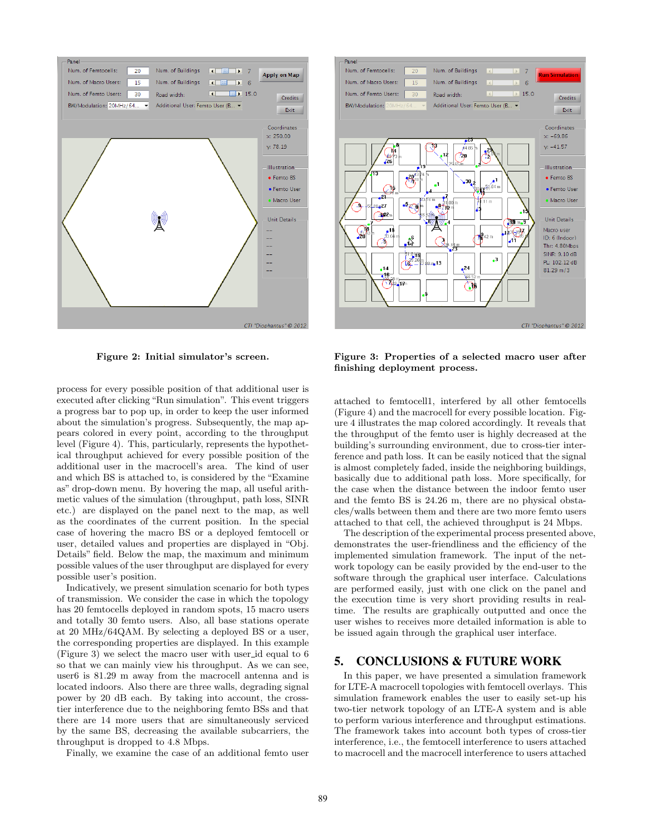

**Figure 2: Initial simulator's screen.**

process for every possible position of that additional user is executed after clicking "Run simulation". This event triggers a progress bar to pop up, in order to keep the user informed about the simulation's progress. Subsequently, the map appears colored in every point, according to the throughput level (Figure 4). This, particularly, represents the hypothetical throughput achieved for every possible position of the additional user in the macrocell's area. The kind of user and which BS is attached to, is considered by the "Examine as" drop-down menu. By hovering the map, all useful arithmetic values of the simulation (throughput, path loss, SINR etc.) are displayed on the panel next to the map, as well as the coordinates of the current position. In the special case of hovering the macro BS or a deployed femtocell or user, detailed values and properties are displayed in "Obj. Details" field. Below the map, the maximum and minimum possible values of the user throughput are displayed for every possible user's position.

Indicatively, we present simulation scenario for both types of transmission. We consider the case in which the topology has 20 femtocells deployed in random spots, 15 macro users and totally 30 femto users. Also, all base stations operate at 20 MHz/64QAM. By selecting a deployed BS or a user, the corresponding properties are displayed. In this example (Figure 3) we select the macro user with user id equal to 6 so that we can mainly view his throughput. As we can see, user6 is 81.29 m away from the macrocell antenna and is located indoors. Also there are three walls, degrading signal power by 20 dB each. By taking into account, the crosstier interference due to the neighboring femto BSs and that there are 14 more users that are simultaneously serviced by the same BS, decreasing the available subcarriers, the throughput is dropped to 4.8 Mbps.

Finally, we examine the case of an additional femto user



**Figure 3: Properties of a selected macro user after finishing deployment process.**

attached to femtocell1, interfered by all other femtocells (Figure 4) and the macrocell for every possible location. Figure 4 illustrates the map colored accordingly. It reveals that the throughput of the femto user is highly decreased at the building's surrounding environment, due to cross-tier interference and path loss. It can be easily noticed that the signal is almost completely faded, inside the neighboring buildings, basically due to additional path loss. More specifically, for the case when the distance between the indoor femto user and the femto BS is 24.26 m, there are no physical obstacles/walls between them and there are two more femto users attached to that cell, the achieved throughput is 24 Mbps.

The description of the experimental process presented above, demonstrates the user-friendliness and the efficiency of the implemented simulation framework. The input of the network topology can be easily provided by the end-user to the software through the graphical user interface. Calculations are performed easily, just with one click on the panel and the execution time is very short providing results in realtime. The results are graphically outputted and once the user wishes to receives more detailed information is able to be issued again through the graphical user interface.

#### 5. CONCLUSIONS & FUTURE WORK

In this paper, we have presented a simulation framework for LTE-A macrocell topologies with femtocell overlays. This simulation framework enables the user to easily set-up his two-tier network topology of an LTE-A system and is able to perform various interference and throughput estimations. The framework takes into account both types of cross-tier interference, i.e., the femtocell interference to users attached to macrocell and the macrocell interference to users attached